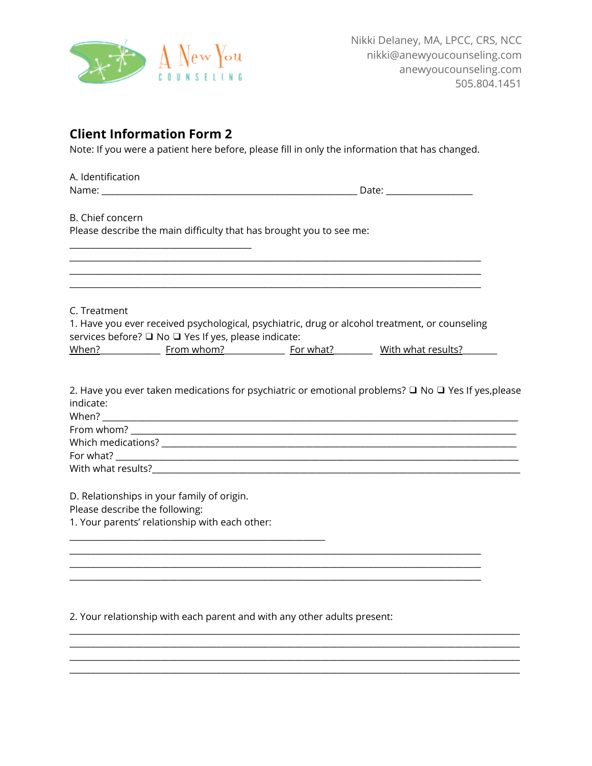

## **Client Information Form 2**

Note: If you were a patient here before, please fill in only the information that has changed.

| A. Identification                                                                       |                                                                                                                                                                                                                                                                                                                                                                               |
|-----------------------------------------------------------------------------------------|-------------------------------------------------------------------------------------------------------------------------------------------------------------------------------------------------------------------------------------------------------------------------------------------------------------------------------------------------------------------------------|
|                                                                                         |                                                                                                                                                                                                                                                                                                                                                                               |
| B. Chief concern<br>Please describe the main difficulty that has brought you to see me: |                                                                                                                                                                                                                                                                                                                                                                               |
|                                                                                         | ,我们也不能在这里的时候,我们也不能在这里的时候,我们也不能在这里的时候,我们也不能会不能会不能会不能会不能会不能会不能会不能会。<br>第2012章 我们的时候,我们的时候,我们的时候,我们的时候,我们的时候,我们的时候,我们的时候,我们的时候,我们的时候,我们的时候,我们的时候,我们的时候,我<br><u> 1989 - Johann Stoff, amerikansk politiker (d. 1989)</u><br>,我们也不能在这里的时候,我们也不能在这里的时候,我们也不能在这里的时候,我们也不能会不能会不能会不能会不能会不能会不能会不能会。<br>第2012章 我们的时候,我们的时候,我们的时候,我们的时候,我们的时候,我们的时候,我们的时候,我们的时候,我们的时候,我们的时候,我们的时候,我们的时候,我 |
| C. Treatment                                                                            |                                                                                                                                                                                                                                                                                                                                                                               |
|                                                                                         | 1. Have you ever received psychological, psychiatric, drug or alcohol treatment, or counseling                                                                                                                                                                                                                                                                                |
| services before? <sup>1</sup> No <sup>1</sup> Yes If yes, please indicate:              |                                                                                                                                                                                                                                                                                                                                                                               |
|                                                                                         | When? Moreover Marian Moreover 2014 For what? Mith what results?                                                                                                                                                                                                                                                                                                              |
| indicate:                                                                               | 2. Have you ever taken medications for psychiatric or emotional problems? $\Box$ No $\Box$ Yes If yes, please                                                                                                                                                                                                                                                                 |
|                                                                                         |                                                                                                                                                                                                                                                                                                                                                                               |
|                                                                                         |                                                                                                                                                                                                                                                                                                                                                                               |
|                                                                                         |                                                                                                                                                                                                                                                                                                                                                                               |
|                                                                                         |                                                                                                                                                                                                                                                                                                                                                                               |
| D. Relationships in your family of origin.                                              |                                                                                                                                                                                                                                                                                                                                                                               |
| Please describe the following:                                                          |                                                                                                                                                                                                                                                                                                                                                                               |
| 1. Your parents' relationship with each other:                                          |                                                                                                                                                                                                                                                                                                                                                                               |

2. Your relationship with each parent and with any other adults present:

<u> 1989 - Johann Barn, mars ann an t-Amhain an t-Amhain an t-Amhain an t-Amhain an t-Amhain an t-Amhain an t-Amh</u>

<u> 1989 - Johann Stoff, deutscher Stoffen und der Stoffen und der Stoffen und der Stoffen und der Stoffen und der</u>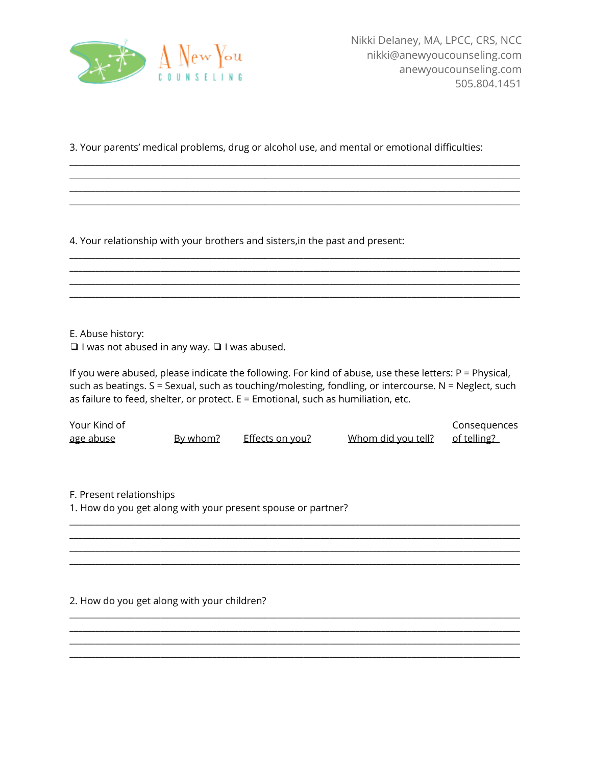

3. Your parents' medical problems, drug or alcohol use, and mental or emotional difficulties:

<u> 1980 - Johann Barn, fransk politik (f. 1980)</u> <u> 1980 - Johann Barn, fransk politik (f. 1980)</u>

4. Your relationship with your brothers and sisters, in the past and present:

E. Abuse history:

 $\Box$  I was not abused in any way.  $\Box$  I was abused.

If you were abused, please indicate the following. For kind of abuse, use these letters:  $P =$  Physical, such as beatings. S = Sexual, such as touching/molesting, fondling, or intercourse. N = Neglect, such as failure to feed, shelter, or protect. E = Emotional, such as humiliation, etc.

| Your Kind of     |          |                 |                    | Consequences |
|------------------|----------|-----------------|--------------------|--------------|
| <u>age abuse</u> | By whom? | Effects on you? | Whom did you tell? | of telling?  |

F. Present relationships

1. How do you get along with your present spouse or partner?

2. How do you get along with your children?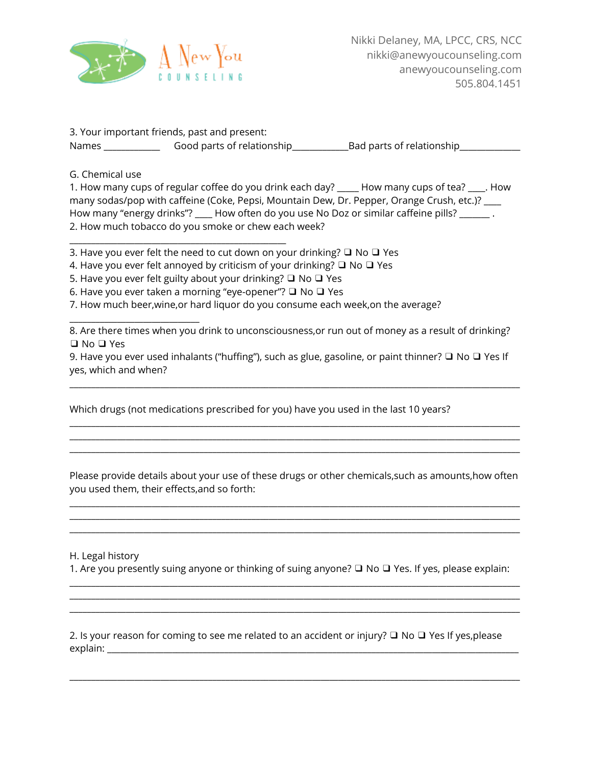

3. Your important friends, past and present: Names \_\_\_\_\_\_\_\_\_\_\_\_\_ Good parts of relationship\_\_\_\_\_\_\_\_\_\_\_\_\_Bad parts of relationship\_\_\_\_\_\_\_\_\_\_\_\_\_\_

G. Chemical use

\_\_\_\_\_\_\_\_\_\_\_\_\_\_\_\_\_\_\_\_\_\_\_\_\_\_\_\_\_\_

1. How many cups of regular coffee do you drink each day? \_\_\_\_\_ How many cups of tea? \_\_\_\_. How many sodas/pop with caffeine (Coke, Pepsi, Mountain Dew, Dr. Pepper, Orange Crush, etc.)? \_\_\_ How many "energy drinks"? How often do you use No Doz or similar caffeine pills? 2. How much tobacco do you smoke or chew each week?

3. Have you ever felt the need to cut down on your drinking? ❑ No ❑ Yes

4. Have you ever felt annoyed by criticism of your drinking? ❑ No ❑ Yes

5. Have you ever felt guilty about your drinking? ❑ No ❑ Yes

\_\_\_\_\_\_\_\_\_\_\_\_\_\_\_\_\_\_\_\_\_\_\_\_\_\_\_\_\_\_\_\_\_\_\_\_\_\_\_\_\_\_\_\_\_\_\_\_\_\_

6. Have you ever taken a morning "eye-opener"? ❑ No ❑ Yes

7. How much beer,wine,or hard liquor do you consume each week,on the average?

8. Are there times when you drink to unconsciousness,or run out of money as a result of drinking? ❑ No ❑ Yes

9. Have you ever used inhalants ("huffing"), such as glue, gasoline, or paint thinner? □ No □ Yes If yes, which and when?

\_\_\_\_\_\_\_\_\_\_\_\_\_\_\_\_\_\_\_\_\_\_\_\_\_\_\_\_\_\_\_\_\_\_\_\_\_\_\_\_\_\_\_\_\_\_\_\_\_\_\_\_\_\_\_\_\_\_\_\_\_\_\_\_\_\_\_\_\_\_\_\_\_\_\_\_\_\_\_\_\_\_\_\_\_\_\_\_\_\_\_\_\_\_\_\_\_\_\_\_\_\_\_\_

\_\_\_\_\_\_\_\_\_\_\_\_\_\_\_\_\_\_\_\_\_\_\_\_\_\_\_\_\_\_\_\_\_\_\_\_\_\_\_\_\_\_\_\_\_\_\_\_\_\_\_\_\_\_\_\_\_\_\_\_\_\_\_\_\_\_\_\_\_\_\_\_\_\_\_\_\_\_\_\_\_\_\_\_\_\_\_\_\_\_\_\_\_\_\_\_\_\_\_\_\_\_\_\_ \_\_\_\_\_\_\_\_\_\_\_\_\_\_\_\_\_\_\_\_\_\_\_\_\_\_\_\_\_\_\_\_\_\_\_\_\_\_\_\_\_\_\_\_\_\_\_\_\_\_\_\_\_\_\_\_\_\_\_\_\_\_\_\_\_\_\_\_\_\_\_\_\_\_\_\_\_\_\_\_\_\_\_\_\_\_\_\_\_\_\_\_\_\_\_\_\_\_\_\_\_\_\_\_ \_\_\_\_\_\_\_\_\_\_\_\_\_\_\_\_\_\_\_\_\_\_\_\_\_\_\_\_\_\_\_\_\_\_\_\_\_\_\_\_\_\_\_\_\_\_\_\_\_\_\_\_\_\_\_\_\_\_\_\_\_\_\_\_\_\_\_\_\_\_\_\_\_\_\_\_\_\_\_\_\_\_\_\_\_\_\_\_\_\_\_\_\_\_\_\_\_\_\_\_\_\_\_\_

Which drugs (not medications prescribed for you) have you used in the last 10 years?

Please provide details about your use of these drugs or other chemicals,such as amounts,how often you used them, their effects,and so forth:

\_\_\_\_\_\_\_\_\_\_\_\_\_\_\_\_\_\_\_\_\_\_\_\_\_\_\_\_\_\_\_\_\_\_\_\_\_\_\_\_\_\_\_\_\_\_\_\_\_\_\_\_\_\_\_\_\_\_\_\_\_\_\_\_\_\_\_\_\_\_\_\_\_\_\_\_\_\_\_\_\_\_\_\_\_\_\_\_\_\_\_\_\_\_\_\_\_\_\_\_\_\_\_\_ \_\_\_\_\_\_\_\_\_\_\_\_\_\_\_\_\_\_\_\_\_\_\_\_\_\_\_\_\_\_\_\_\_\_\_\_\_\_\_\_\_\_\_\_\_\_\_\_\_\_\_\_\_\_\_\_\_\_\_\_\_\_\_\_\_\_\_\_\_\_\_\_\_\_\_\_\_\_\_\_\_\_\_\_\_\_\_\_\_\_\_\_\_\_\_\_\_\_\_\_\_\_\_\_ \_\_\_\_\_\_\_\_\_\_\_\_\_\_\_\_\_\_\_\_\_\_\_\_\_\_\_\_\_\_\_\_\_\_\_\_\_\_\_\_\_\_\_\_\_\_\_\_\_\_\_\_\_\_\_\_\_\_\_\_\_\_\_\_\_\_\_\_\_\_\_\_\_\_\_\_\_\_\_\_\_\_\_\_\_\_\_\_\_\_\_\_\_\_\_\_\_\_\_\_\_\_\_\_

H. Legal history

1. Are you presently suing anyone or thinking of suing anyone? ❑ No ❑ Yes. If yes, please explain: \_\_\_\_\_\_\_\_\_\_\_\_\_\_\_\_\_\_\_\_\_\_\_\_\_\_\_\_\_\_\_\_\_\_\_\_\_\_\_\_\_\_\_\_\_\_\_\_\_\_\_\_\_\_\_\_\_\_\_\_\_\_\_\_\_\_\_\_\_\_\_\_\_\_\_\_\_\_\_\_\_\_\_\_\_\_\_\_\_\_\_\_\_\_\_\_\_\_\_\_\_\_\_\_

\_\_\_\_\_\_\_\_\_\_\_\_\_\_\_\_\_\_\_\_\_\_\_\_\_\_\_\_\_\_\_\_\_\_\_\_\_\_\_\_\_\_\_\_\_\_\_\_\_\_\_\_\_\_\_\_\_\_\_\_\_\_\_\_\_\_\_\_\_\_\_\_\_\_\_\_\_\_\_\_\_\_\_\_\_\_\_\_\_\_\_\_\_\_\_\_\_\_\_\_\_\_\_\_ \_\_\_\_\_\_\_\_\_\_\_\_\_\_\_\_\_\_\_\_\_\_\_\_\_\_\_\_\_\_\_\_\_\_\_\_\_\_\_\_\_\_\_\_\_\_\_\_\_\_\_\_\_\_\_\_\_\_\_\_\_\_\_\_\_\_\_\_\_\_\_\_\_\_\_\_\_\_\_\_\_\_\_\_\_\_\_\_\_\_\_\_\_\_\_\_\_\_\_\_\_\_\_\_

2. Is your reason for coming to see me related to an accident or injury? ❑ No ❑ Yes If yes,please explain: \_\_\_\_\_\_\_\_\_\_\_\_\_\_\_\_\_\_\_\_\_\_\_\_\_\_\_\_\_\_\_\_\_\_\_\_\_\_\_\_\_\_\_\_\_\_\_\_\_\_\_\_\_\_\_\_\_\_\_\_\_\_\_\_\_\_\_\_\_\_\_\_\_\_\_\_\_\_\_\_\_\_\_\_\_\_\_\_\_\_\_\_\_\_\_

\_\_\_\_\_\_\_\_\_\_\_\_\_\_\_\_\_\_\_\_\_\_\_\_\_\_\_\_\_\_\_\_\_\_\_\_\_\_\_\_\_\_\_\_\_\_\_\_\_\_\_\_\_\_\_\_\_\_\_\_\_\_\_\_\_\_\_\_\_\_\_\_\_\_\_\_\_\_\_\_\_\_\_\_\_\_\_\_\_\_\_\_\_\_\_\_\_\_\_\_\_\_\_\_